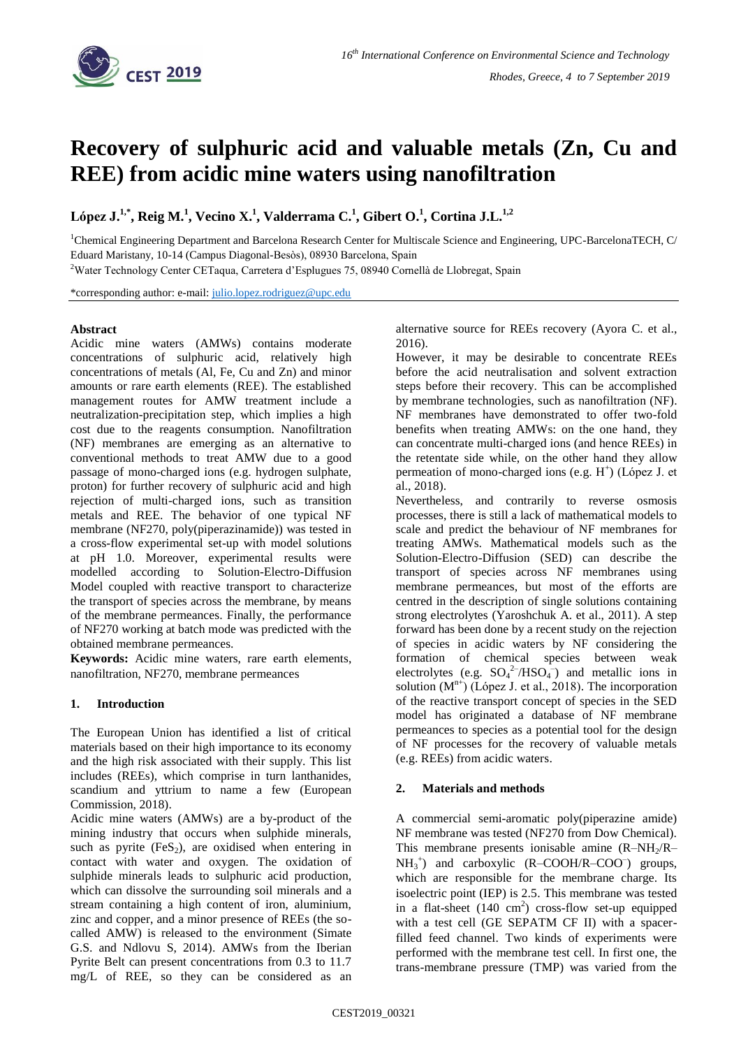

# **Recovery of sulphuric acid and valuable metals (Zn, Cu and REE) from acidic mine waters using nanofiltration**

**López J. 1,\* , Reig M. 1 , Vecino X. 1 , Valderrama C.<sup>1</sup> , Gibert O.<sup>1</sup> , Cortina J.L.1,2**

<sup>1</sup>Chemical Engineering Department and Barcelona Research Center for Multiscale Science and Engineering, UPC-BarcelonaTECH, C/ Eduard Maristany, 10-14 (Campus Diagonal-Besòs), 08930 Barcelona, Spain

<sup>2</sup>Water Technology Center CETaqua, Carretera d'Esplugues 75, 08940 Cornellà de Llobregat, Spain

\*corresponding author: e-mail: [julio.lopez.rodriguez@upc.edu](mailto:julio.lopez.rodriguez@upc.edu)

# **Abstract**

Acidic mine waters (AMWs) contains moderate concentrations of sulphuric acid, relatively high concentrations of metals (Al, Fe, Cu and Zn) and minor amounts or rare earth elements (REE). The established management routes for AMW treatment include a neutralization-precipitation step, which implies a high cost due to the reagents consumption. Nanofiltration (NF) membranes are emerging as an alternative to conventional methods to treat AMW due to a good passage of mono-charged ions (e.g. hydrogen sulphate, proton) for further recovery of sulphuric acid and high rejection of multi-charged ions, such as transition metals and REE. The behavior of one typical NF membrane (NF270, poly(piperazinamide)) was tested in a cross-flow experimental set-up with model solutions at pH 1.0. Moreover, experimental results were modelled according to Solution-Electro-Diffusion Model coupled with reactive transport to characterize the transport of species across the membrane, by means of the membrane permeances. Finally, the performance of NF270 working at batch mode was predicted with the obtained membrane permeances.

**Keywords:** Acidic mine waters, rare earth elements, nanofiltration, NF270, membrane permeances

# **1. Introduction**

The European Union has identified a list of critical materials based on their high importance to its economy and the high risk associated with their supply. This list includes (REEs), which comprise in turn lanthanides, scandium and yttrium to name a few (European Commission, 2018).

Acidic mine waters (AMWs) are a by-product of the mining industry that occurs when sulphide minerals, such as pyrite  $(F \in S_2)$ , are oxidised when entering in contact with water and oxygen. The oxidation of sulphide minerals leads to sulphuric acid production, which can dissolve the surrounding soil minerals and a stream containing a high content of iron, aluminium, zinc and copper, and a minor presence of REEs (the socalled AMW) is released to the environment (Simate G.S. and Ndlovu S, 2014). AMWs from the Iberian Pyrite Belt can present concentrations from 0.3 to 11.7 mg/L of REE, so they can be considered as an

alternative source for REEs recovery (Ayora C. et al., 2016).

However, it may be desirable to concentrate REEs before the acid neutralisation and solvent extraction steps before their recovery. This can be accomplished by membrane technologies, such as nanofiltration (NF). NF membranes have demonstrated to offer two-fold benefits when treating AMWs: on the one hand, they can concentrate multi-charged ions (and hence REEs) in the retentate side while, on the other hand they allow permeation of mono-charged ions (e.g. H<sup>+</sup>) (López J. et al., 2018).

Nevertheless, and contrarily to reverse osmosis processes, there is still a lack of mathematical models to scale and predict the behaviour of NF membranes for treating AMWs. Mathematical models such as the Solution-Electro-Diffusion (SED) can describe the transport of species across NF membranes using membrane permeances, but most of the efforts are centred in the description of single solutions containing strong electrolytes (Yaroshchuk A. et al., 2011). A step forward has been done by a recent study on the rejection of species in acidic waters by NF considering the formation of chemical species between weak electrolytes (e.g.  $SO_4^2$ /HSO<sub>4</sub><sup>-</sup>) and metallic ions in solution  $(M^{n+})$  (López J. et al., 2018). The incorporation of the reactive transport concept of species in the SED model has originated a database of NF membrane permeances to species as a potential tool for the design of NF processes for the recovery of valuable metals (e.g. REEs) from acidic waters.

# **2. Materials and methods**

A commercial semi-aromatic poly(piperazine amide) NF membrane was tested (NF270 from Dow Chemical). This membrane presents ionisable amine  $(R-NH<sub>2</sub>/R NH<sub>3</sub><sup>+</sup>$  and carboxylic (R-COOH/R-COO<sup>-</sup>) groups, which are responsible for the membrane charge. Its isoelectric point (IEP) is 2.5. This membrane was tested in a flat-sheet  $(140 \text{ cm}^2)$  cross-flow set-up equipped with a test cell (GE SEPATM CF II) with a spacerfilled feed channel. Two kinds of experiments were performed with the membrane test cell. In first one, the trans-membrane pressure (TMP) was varied from the